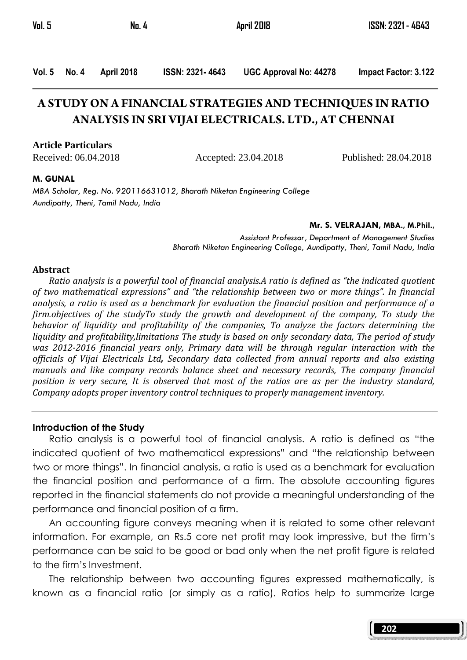Vol. 5 No. 4 April 2018 ISSN: 2321- 4643 UGC Approval No: 44278 Impact Factor: 3.122

# **A STUDY ON A FINANCIAL STRATEGIES AND TECHNIQUES IN RATIO ANALYSIS IN SRI VIJAI ELECTRICALS. LTD., AT CHENNAI**

#### **Article Particulars**

Received: 06.04.2018 Accepted: 23.04.2018 Published: 28.04.2018

#### M. GUNAL

MBA Scholar, Reg. No. 920116631012, Bharath Niketan Engineering College Aundipatty, Theni, Tamil Nadu, India

#### Mr. S. VELRAJAN, MBA., M.Phil.,

Assistant Professor, Department of Management Studies Bharath Niketan Engineering College, Aundipatty, Theni, Tamil Nadu, India

#### Abstract

 Ratio analysis is a powerful tool of financial analysis.A ratio is defined as "the indicated quotient of two mathematical expressions" and "the relationship between two or more things". In financial analysis, a ratio is used as a benchmark for evaluation the financial position and performance of a firm.objectives of the studyTo study the growth and development of the company, To study the behavior of liquidity and profitability of the companies, To analyze the factors determining the liquidity and profitability,limitations The study is based on only secondary data, The period of study was 2012-2016 financial years only, Primary data will be through regular interaction with the officials of Vijai Electricals Ltd, Secondary data collected from annual reports and also existing manuals and like company records balance sheet and necessary records, The company financial position is very secure, It is observed that most of the ratios are as per the industry standard, Company adopts proper inventory control techniques to properly management inventory.

#### Introduction of the Study

 Ratio analysis is a powerful tool of financial analysis. A ratio is defined as "the indicated quotient of two mathematical expressions" and "the relationship between two or more things". In financial analysis, a ratio is used as a benchmark for evaluation the financial position and performance of a firm. The absolute accounting figures reported in the financial statements do not provide a meaningful understanding of the performance and financial position of a firm.

 An accounting figure conveys meaning when it is related to some other relevant information. For example, an Rs.5 core net profit may look impressive, but the firm's performance can be said to be good or bad only when the net profit figure is related to the firm's Investment.

 The relationship between two accounting figures expressed mathematically, is known as a financial ratio (or simply as a ratio). Ratios help to summarize large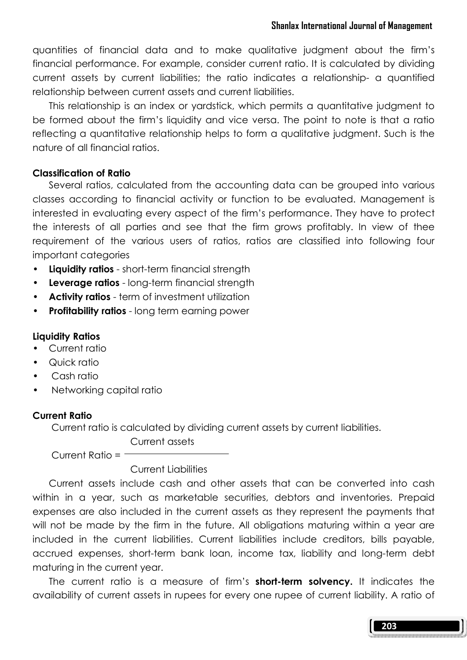quantities of financial data and to make qualitative judgment about the firm's financial performance. For example, consider current ratio. It is calculated by dividing current assets by current liabilities; the ratio indicates a relationship- a quantified relationship between current assets and current liabilities.

 This relationship is an index or yardstick, which permits a quantitative judgment to be formed about the firm's liquidity and vice versa. The point to note is that a ratio reflecting a quantitative relationship helps to form a qualitative judgment. Such is the nature of all financial ratios.

#### Classification of Ratio

 Several ratios, calculated from the accounting data can be grouped into various classes according to financial activity or function to be evaluated. Management is interested in evaluating every aspect of the firm's performance. They have to protect the interests of all parties and see that the firm grows profitably. In view of thee requirement of the various users of ratios, ratios are classified into following four important categories

- Liquidity ratios short-term financial strength
- Leverage ratios long-term financial strength
- Activity ratios term of investment utilization
- Profitability ratios long term earning power

#### Liquidity Ratios

- Current ratio
- Quick ratio
- Cash ratio
- Networking capital ratio

#### Current Ratio

Current ratio is calculated by dividing current assets by current liabilities.

Current assets

Current Ratio =  $-$ 

# Current Liabilities

 Current assets include cash and other assets that can be converted into cash within in a year, such as marketable securities, debtors and inventories. Prepaid expenses are also included in the current assets as they represent the payments that will not be made by the firm in the future. All obligations maturing within a year are included in the current liabilities. Current liabilities include creditors, bills payable, accrued expenses, short-term bank loan, income tax, liability and long-term debt maturing in the current year.

The current ratio is a measure of firm's **short-term solvency.** It indicates the availability of current assets in rupees for every one rupee of current liability. A ratio of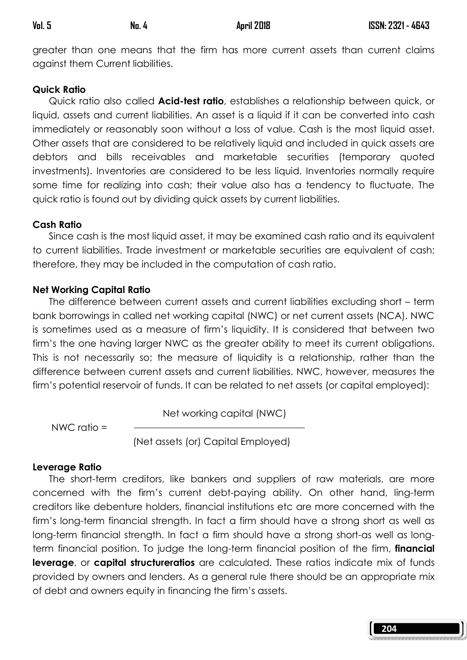greater than one means that the firm has more current assets than current claims against them Current liabilities.

#### Quick Ratio

Quick ratio also called **Acid-test ratio**, establishes a relationship between quick, or liquid, assets and current liabilities. An asset is a liquid if it can be converted into cash immediately or reasonably soon without a loss of value. Cash is the most liquid asset. Other assets that are considered to be relatively liquid and included in quick assets are debtors and bills receivables and marketable securities (temporary quoted investments). Inventories are considered to be less liquid. Inventories normally require some time for realizing into cash; their value also has a tendency to fluctuate. The quick ratio is found out by dividing quick assets by current liabilities.

#### Cash Ratio

 Since cash is the most liquid asset, it may be examined cash ratio and its equivalent to current liabilities. Trade investment or marketable securities are equivalent of cash; therefore, they may be included in the computation of cash ratio.

#### Net Working Capital Ratio

 The difference between current assets and current liabilities excluding short – term bank borrowings in called net working capital (NWC) or net current assets (NCA). NWC is sometimes used as a measure of firm's liquidity. It is considered that between two firm's the one having larger NWC as the greater ability to meet its current obligations. This is not necessarily so; the measure of liquidity is a relationship, rather than the difference between current assets and current liabilities. NWC, however, measures the firm's potential reservoir of funds. It can be related to net assets (or capital employed):

Net working capital (NWC)

NWC ratio =

(Net assets (or) Capital Employed)

# Leverage Ratio

 The short-term creditors, like bankers and suppliers of raw materials, are more concerned with the firm's current debt-paying ability. On other hand, ling-term creditors like debenture holders, financial institutions etc are more concerned with the firm's long-term financial strength. In fact a firm should have a strong short as well as long-term financial strength. In fact a firm should have a strong short-as well as longterm financial position. To judge the long-term financial position of the firm, **financial** leverage, or capital structureratios are calculated. These ratios indicate mix of funds provided by owners and lenders. As a general rule there should be an appropriate mix of debt and owners equity in financing the firm's assets.

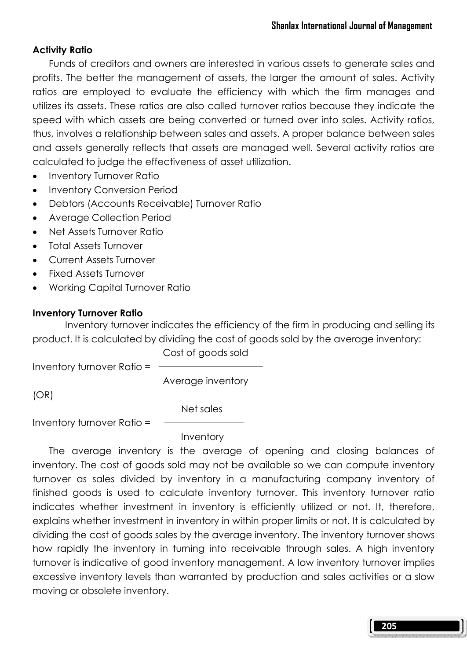# Activity Ratio

 Funds of creditors and owners are interested in various assets to generate sales and profits. The better the management of assets, the larger the amount of sales. Activity ratios are employed to evaluate the efficiency with which the firm manages and utilizes its assets. These ratios are also called turnover ratios because they indicate the speed with which assets are being converted or turned over into sales. Activity ratios, thus, involves a relationship between sales and assets. A proper balance between sales and assets generally reflects that assets are managed well. Several activity ratios are calculated to judge the effectiveness of asset utilization.

- Inventory Turnover Ratio
- Inventory Conversion Period
- Debtors (Accounts Receivable) Turnover Ratio
- Average Collection Period
- Net Assets Turnover Ratio
- Total Assets Turnover
- Current Assets Turnover
- Fixed Assets Turnover
- Working Capital Turnover Ratio

# Inventory Turnover Ratio

 Inventory turnover indicates the efficiency of the firm in producing and selling its product. It is calculated by dividing the cost of goods sold by the average inventory:

Cost of goods sold

Inventory turnover Ratio =

Average inventory

(OR)

Net sales

Inventory turnover Ratio =

Inventory

 The average inventory is the average of opening and closing balances of inventory. The cost of goods sold may not be available so we can compute inventory turnover as sales divided by inventory in a manufacturing company inventory of finished goods is used to calculate inventory turnover. This inventory turnover ratio indicates whether investment in inventory is efficiently utilized or not. It, therefore, explains whether investment in inventory in within proper limits or not. It is calculated by dividing the cost of goods sales by the average inventory. The inventory turnover shows how rapidly the inventory in turning into receivable through sales. A high inventory turnover is indicative of good inventory management. A low inventory turnover implies excessive inventory levels than warranted by production and sales activities or a slow moving or obsolete inventory.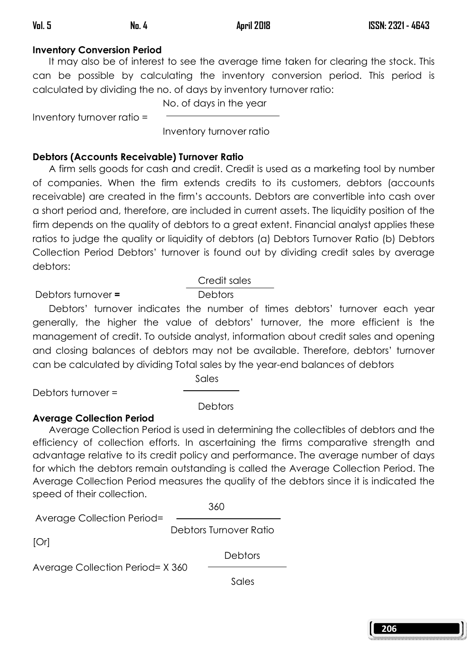# Inventory Conversion Period

 It may also be of interest to see the average time taken for clearing the stock. This can be possible by calculating the inventory conversion period. This period is calculated by dividing the no. of days by inventory turnover ratio:

No. of days in the year

Inventory turnover ratio =

Inventory turnover ratio

# Debtors (Accounts Receivable) Turnover Ratio

 A firm sells goods for cash and credit. Credit is used as a marketing tool by number of companies. When the firm extends credits to its customers, debtors (accounts receivable) are created in the firm's accounts. Debtors are convertible into cash over a short period and, therefore, are included in current assets. The liquidity position of the firm depends on the quality of debtors to a great extent. Financial analyst applies these ratios to judge the quality or liquidity of debtors (a) Debtors Turnover Ratio (b) Debtors Collection Period Debtors' turnover is found out by dividing credit sales by average debtors:

# Debtors turnover = Debtors

# Credit sales

 Debtors' turnover indicates the number of times debtors' turnover each year generally, the higher the value of debtors' turnover, the more efficient is the management of credit. To outside analyst, information about credit sales and opening and closing balances of debtors may not be available. Therefore, debtors' turnover can be calculated by dividing Total sales by the year-end balances of debtors

**Sales Sales** 

Debtors turnover =

**Debtors** 

# Average Collection Period

 Average Collection Period is used in determining the collectibles of debtors and the efficiency of collection efforts. In ascertaining the firms comparative strength and advantage relative to its credit policy and performance. The average number of days for which the debtors remain outstanding is called the Average Collection Period. The Average Collection Period measures the quality of the debtors since it is indicated the speed of their collection.

<u>360</u>

Average Collection Period=

Debtors Turnover Ratio

[Or]

Average Collection Period= X 360

<u>Sales and the sales of the Sales Sales and the Sales Sales of the Sales Sales of the Sales Sales Sales Sales Sales Sales Sales Sales Sales Sales Sales Sales Sales Sales Sales Sales Sales Sales Sales Sales Sales Sales Sale</u>

Debtors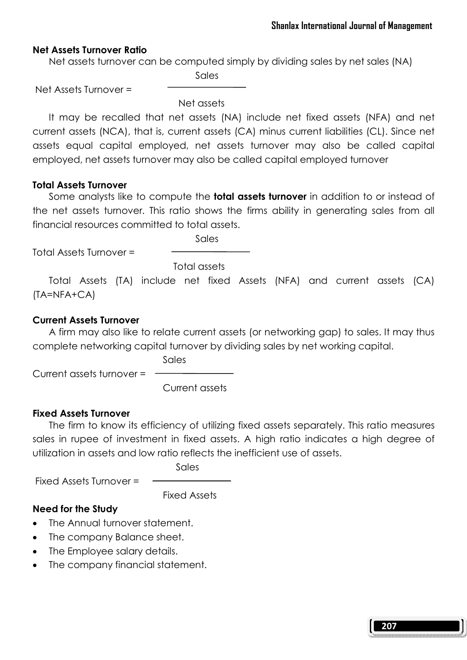#### Net Assets Turnover Ratio

Net assets turnover can be computed simply by dividing sales by net sales (NA)

**Sales Sales** 

Net Assets Turnover =

Net assets

 It may be recalled that net assets (NA) include net fixed assets (NFA) and net current assets (NCA), that is, current assets (CA) minus current liabilities (CL). Since net assets equal capital employed, net assets turnover may also be called capital employed, net assets turnover may also be called capital employed turnover

#### Total Assets Turnover

Some analysts like to compute the **total assets turnover** in addition to or instead of the net assets turnover. This ratio shows the firms ability in generating sales from all financial resources committed to total assets.

Sales

Total Assets Turnover =

Total assets

 Total Assets (TA) include net fixed Assets (NFA) and current assets (CA) (TA=NFA+CA)

#### Current Assets Turnover

 A firm may also like to relate current assets (or networking gap) to sales. It may thus complete networking capital turnover by dividing sales by net working capital.

Current assets turnover =

Sales

Current assets

# Fixed Assets Turnover

 The firm to know its efficiency of utilizing fixed assets separately. This ratio measures sales in rupee of investment in fixed assets. A high ratio indicates a high degree of utilization in assets and low ratio reflects the inefficient use of assets.

Sales

Fixed Assets Turnover =

Fixed Assets

# Need for the Study

- The Annual turnover statement.
- The company Balance sheet.
- The Employee salary details.
- The company financial statement.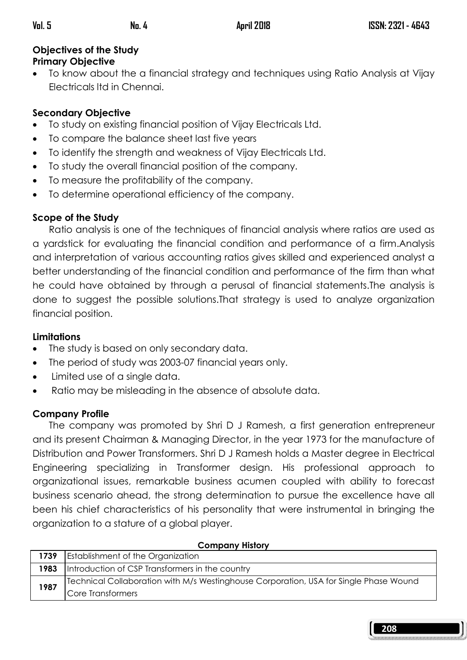# Objectives of the Study Primary Objective

• To know about the a financial strategy and techniques using Ratio Analysis at Vijay Electricals ltd in Chennai.

# Secondary Objective

- To study on existing financial position of Vijay Electricals Ltd.
- To compare the balance sheet last five years
- To identify the strength and weakness of Vijay Electricals Ltd.
- To study the overall financial position of the company.
- To measure the profitability of the company.
- To determine operational efficiency of the company.

# Scope of the Study

 Ratio analysis is one of the techniques of financial analysis where ratios are used as a yardstick for evaluating the financial condition and performance of a firm.Analysis and interpretation of various accounting ratios gives skilled and experienced analyst a better understanding of the financial condition and performance of the firm than what he could have obtained by through a perusal of financial statements.The analysis is done to suggest the possible solutions.That strategy is used to analyze organization financial position.

# Limitations

- The study is based on only secondary data.
- The period of study was 2003-07 financial years only.
- Limited use of a single data.
- Ratio may be misleading in the absence of absolute data.

# Company Profile

 The company was promoted by Shri D J Ramesh, a first generation entrepreneur and its present Chairman & Managing Director, in the year 1973 for the manufacture of Distribution and Power Transformers. Shri D J Ramesh holds a Master degree in Electrical Engineering specializing in Transformer design. His professional approach to organizational issues, remarkable business acumen coupled with ability to forecast business scenario ahead, the strong determination to pursue the excellence have all been his chief characteristics of his personality that were instrumental in bringing the organization to a stature of a global player.

| $\sim$ - $\sim$ $\sim$ $\sim$ $\sim$ $\sim$ $\sim$ $\sim$ |                                                                                       |
|-----------------------------------------------------------|---------------------------------------------------------------------------------------|
| 1739                                                      | <b>Establishment of the Organization</b>                                              |
| 1983                                                      | Introduction of CSP Transformers in the country                                       |
| 1987                                                      | Technical Collaboration with M/s Westinghouse Corporation, USA for Single Phase Wound |
|                                                           | Core Transformers                                                                     |

# Company History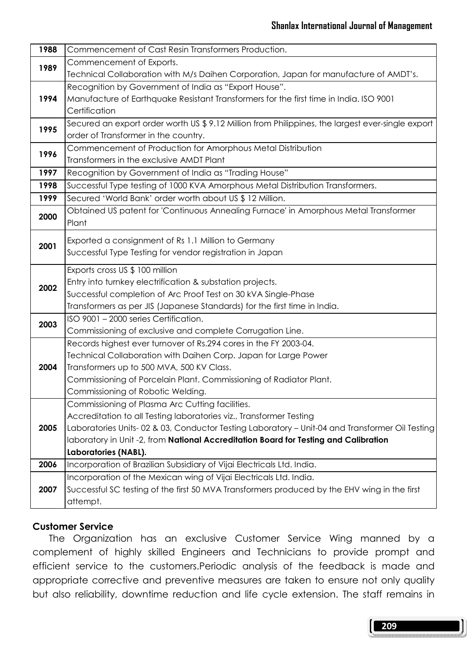| 1988 | Commencement of Cast Resin Transformers Production.                                               |
|------|---------------------------------------------------------------------------------------------------|
| 1989 | Commencement of Exports.                                                                          |
|      | Technical Collaboration with M/s Daihen Corporation, Japan for manufacture of AMDT's.             |
| 1994 | Recognition by Government of India as "Export House".                                             |
|      | Manufacture of Earthquake Resistant Transformers for the first time in India. ISO 9001            |
|      | Certification                                                                                     |
| 1995 | Secured an export order worth US \$ 9.12 Million from Philippines, the largest ever-single export |
|      | order of Transformer in the country.                                                              |
| 1996 | Commencement of Production for Amorphous Metal Distribution                                       |
|      | Transformers in the exclusive AMDT Plant                                                          |
| 1997 | Recognition by Government of India as "Trading House"                                             |
| 1998 | Successful Type testing of 1000 KVA Amorphous Metal Distribution Transformers.                    |
| 1999 | Secured 'World Bank' order worth about US \$12 Million.                                           |
| 2000 | Obtained US patent for 'Continuous Annealing Furnace' in Amorphous Metal Transformer              |
|      | Plant                                                                                             |
| 2001 | Exported a consignment of Rs 1.1 Million to Germany                                               |
|      | Successful Type Testing for vendor registration in Japan                                          |
|      | Exports cross US \$ 100 million                                                                   |
| 2002 | Entry into turnkey electrification & substation projects.                                         |
|      | Successful completion of Arc Proof Test on 30 kVA Single-Phase                                    |
|      | Transformers as per JIS (Japanese Standards) for the first time in India.                         |
| 2003 | ISO 9001 - 2000 series Certification.                                                             |
|      | Commissioning of exclusive and complete Corrugation Line.                                         |
|      | Records highest ever turnover of Rs.294 cores in the FY 2003-04.                                  |
| 2004 | Technical Collaboration with Daihen Corp. Japan for Large Power                                   |
|      | Transformers up to 500 MVA, 500 KV Class.                                                         |
|      | Commissioning of Porcelain Plant. Commissioning of Radiator Plant.                                |
|      | Commissioning of Robotic Welding.                                                                 |
| 2005 | Commissioning of Plasma Arc Cutting facilities.                                                   |
|      | Accreditation to all Testing laboratories viz., Transformer Testing                               |
|      | Laboratories Units-02 & 03, Conductor Testing Laboratory - Unit-04 and Transformer Oil Testing    |
|      | laboratory in Unit -2, from National Accreditation Board for Testing and Calibration              |
|      | Laboratories (NABL).                                                                              |
| 2006 | Incorporation of Brazilian Subsidiary of Vijai Electricals Ltd. India.                            |
| 2007 | Incorporation of the Mexican wing of Vijai Electricals Ltd. India.                                |
|      | Successful SC testing of the first 50 MVA Transformers produced by the EHV wing in the first      |
|      | attempt.                                                                                          |

#### Customer Service

 The Organization has an exclusive Customer Service Wing manned by a complement of highly skilled Engineers and Technicians to provide prompt and efficient service to the customers.Periodic analysis of the feedback is made and appropriate corrective and preventive measures are taken to ensure not only quality but also reliability, downtime reduction and life cycle extension. The staff remains in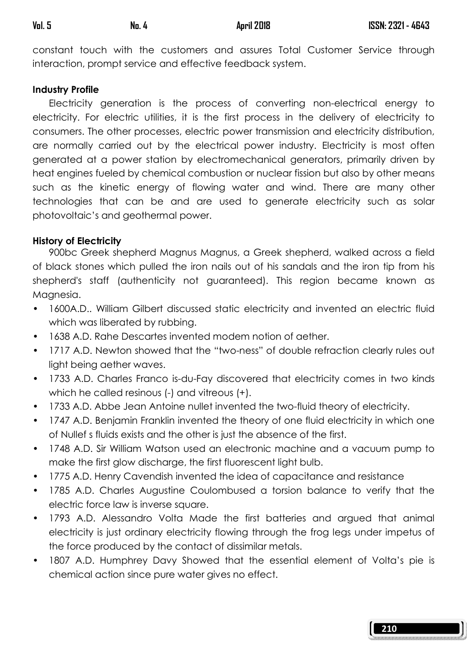constant touch with the customers and assures Total Customer Service through interaction, prompt service and effective feedback system.

#### Industry Profile

 Electricity generation is the process of converting non-electrical energy to electricity. For electric utilities, it is the first process in the delivery of electricity to consumers. The other processes, electric power transmission and electricity distribution, are normally carried out by the electrical power industry. Electricity is most often generated at a power station by electromechanical generators, primarily driven by heat engines fueled by chemical combustion or nuclear fission but also by other means such as the kinetic energy of flowing water and wind. There are many other technologies that can be and are used to generate electricity such as solar photovoltaic's and geothermal power.

#### History of Electricity

 900bc Greek shepherd Magnus Magnus, a Greek shepherd, walked across a field of black stones which pulled the iron nails out of his sandals and the iron tip from his shepherd's staff (authenticity not guaranteed). This region became known as Maanesia.

- 1600A.D.. William Gilbert discussed static electricity and invented an electric fluid which was liberated by rubbing.
- 1638 A.D. Rahe Descartes invented modem notion of aether.
- 1717 A.D. Newton showed that the "two-ness" of double refraction clearly rules out light being aether waves.
- 1733 A.D. Charles Franco is-du-Fay discovered that electricity comes in two kinds which he called resinous (-) and vitreous (+).
- 1733 A.D. Abbe Jean Antoine nullet invented the two-fluid theory of electricity.
- 1747 A.D. Benjamin Franklin invented the theory of one fluid electricity in which one of Nullef s fluids exists and the other is just the absence of the first.
- 1748 A.D. Sir William Watson used an electronic machine and a vacuum pump to make the first glow discharge, the first fluorescent light bulb.
- 1775 A.D. Henry Cavendish invented the idea of capacitance and resistance
- 1785 A.D. Charles Augustine Coulombused a torsion balance to verify that the electric force law is inverse square.
- 1793 A.D. Alessandro Volta Made the first batteries and argued that animal electricity is just ordinary electricity flowing through the frog legs under impetus of the force produced by the contact of dissimilar metals.
- 1807 A.D. Humphrey Davy Showed that the essential element of Volta's pie is chemical action since pure water gives no effect.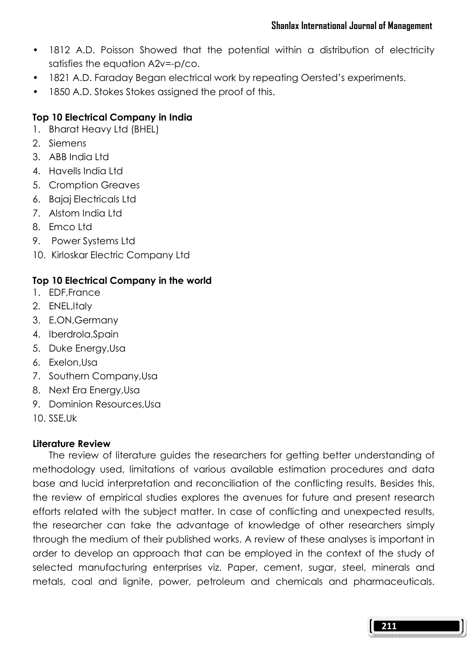- 1812 A.D. Poisson Showed that the potential within a distribution of electricity satisfies the equation A2v=-p/co.
- 1821 A.D. Faraday Began electrical work by repeating Oersted's experiments.
- 1850 A.D. Stokes Stokes assigned the proof of this.

# Top 10 Electrical Company in India

- 1. Bharat Heavy Ltd (BHEL)
- 2. Siemens
- 3. ABB India Ltd
- 4. Havells India Ltd
- 5. Cromption Greaves
- 6. Bajaj Electricals Ltd
- 7. Alstom India Ltd
- 8. Emco Ltd.
- 9. Power Systems Ltd
- 10. Kirloskar Electric Company Ltd

# Top 10 Electrical Company in the world

- 1. EDF,France
- 2. ENEL,Italy
- 3. E.ON,Germany
- 4. Iberdrola,Spain
- 5. Duke Energy,Usa
- 6. Exelon,Usa
- 7. Southern Company,Usa
- 8. Next Era Energy,Usa
- 9. Dominion Resources,Usa
- 10. SSE,Uk

# Literature Review

 The review of literature guides the researchers for getting better understanding of methodology used, limitations of various available estimation procedures and data base and lucid interpretation and reconciliation of the conflicting results. Besides this, the review of empirical studies explores the avenues for future and present research efforts related with the subject matter. In case of conflicting and unexpected results, the researcher can take the advantage of knowledge of other researchers simply through the medium of their published works. A review of these analyses is important in order to develop an approach that can be employed in the context of the study of selected manufacturing enterprises viz. Paper, cement, sugar, steel, minerals and metals, coal and lignite, power, petroleum and chemicals and pharmaceuticals.